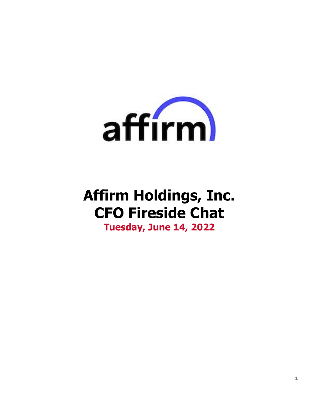

# **Affirm Holdings, Inc. CFO Fireside Chat**

**Tuesday, June 14, 2022**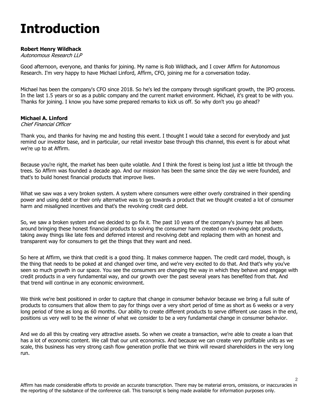# **Introduction**

# **Robert Henry Wildhack**

# Autonomous Research LLP

Good afternoon, everyone, and thanks for joining. My name is Rob Wildhack, and I cover Affirm for Autonomous Research. I'm very happy to have Michael Linford, Affirm, CFO, joining me for a conversation today.

Michael has been the company's CFO since 2018. So he's led the company through significant growth, the IPO process. In the last 1.5 years or so as a public company and the current market environment. Michael, it's great to be with you. Thanks for joining. I know you have some prepared remarks to kick us off. So why don't you go ahead?

# **Michael A. Linford**

# Chief Financial Officer

Thank you, and thanks for having me and hosting this event. I thought I would take a second for everybody and just remind our investor base, and in particular, our retail investor base through this channel, this event is for about what we're up to at Affirm.

Because you're right, the market has been quite volatile. And I think the forest is being lost just a little bit through the trees. So Affirm was founded a decade ago. And our mission has been the same since the day we were founded, and that's to build honest financial products that improve lives.

What we saw was a very broken system. A system where consumers were either overly constrained in their spending power and using debit or their only alternative was to go towards a product that we thought created a lot of consumer harm and misaligned incentives and that's the revolving credit card debt.

So, we saw a broken system and we decided to go fix it. The past 10 years of the company's journey has all been around bringing these honest financial products to solving the consumer harm created on revolving debt products, taking away things like late fees and deferred interest and revolving debt and replacing them with an honest and transparent way for consumers to get the things that they want and need.

So here at Affirm, we think that credit is a good thing. It makes commerce happen. The credit card model, though, is the thing that needs to be poked at and changed over time, and we're very excited to do that. And that's why you've seen so much growth in our space. You see the consumers are changing the way in which they behave and engage with credit products in a very fundamental way, and our growth over the past several years has benefited from that. And that trend will continue in any economic environment.

We think we're best positioned in order to capture that change in consumer behavior because we bring a full suite of products to consumers that allow them to pay for things over a very short period of time as short as 6 weeks or a very long period of time as long as 60 months. Our ability to create different products to serve different use cases in the end, positions us very well to be the winner of what we consider to be a very fundamental change in consumer behavior.

And we do all this by creating very attractive assets. So when we create a transaction, we're able to create a loan that has a lot of economic content. We call that our unit economics. And because we can create very profitable units as we scale, this business has very strong cash flow generation profile that we think will reward shareholders in the very long run.

Affirm has made considerable efforts to provide an accurate transcription. There may be material errors, omissions, or inaccuracies in the reporting of the substance of the conference call. This transcript is being made available for information purposes only.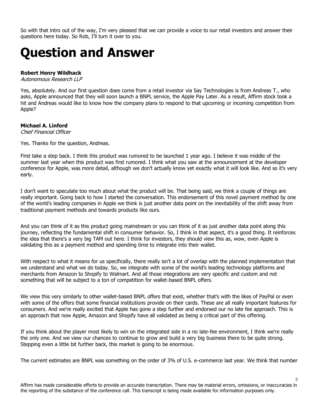So with that intro out of the way, I'm very pleased that we can provide a voice to our retail investors and answer their questions here today. So Rob, I'll turn it over to you.

# **Question and Answer**

#### **Robert Henry Wildhack**

Autonomous Research LLP

Yes, absolutely. And our first question does come from a retail investor via Say Technologies is from Andreas T., who asks, Apple announced that they will soon launch a BNPL service, the Apple Pay Later. As a result, Affirm stock took a hit and Andreas would like to know how the company plans to respond to that upcoming or incoming competition from Apple?

# **Michael A. Linford**

Chief Financial Officer

Yes. Thanks for the question, Andreas.

First take a step back. I think this product was rumored to be launched 1 year ago. I believe it was middle of the summer last year when this product was first rumored. I think what you saw at the announcement at the developer conference for Apple, was more detail, although we don't actually know yet exactly what it will look like. And so it's very early.

I don't want to speculate too much about what the product will be. That being said, we think a couple of things are really important. Going back to how I started the conversation. This endorsement of this novel payment method by one of the world's leading companies in Apple we think is just another data point on the inevitability of the shift away from traditional payment methods and towards products like ours.

And you can think of it as this product going mainstream or you can think of it as just another data point along this journey, reflecting the fundamental shift in consumer behavior. So, I think in that aspect, it's a good thing. It reinforces the idea that there's a very big TAM out here. I think for investors, they should view this as, wow, even Apple is validating this as a payment method and spending time to integrate into their wallet.

With respect to what it means for us specifically, there really isn't a lot of overlap with the planned implementation that we understand and what we do today. So, we integrate with some of the world's leading technology platforms and merchants from Amazon to Shopify to Walmart. And all those integrations are very specific and custom and not something that will be subject to a ton of competition for wallet-based BNPL offers.

We view this very similarly to other wallet-based BNPL offers that exist, whether that's with the likes of PayPal or even with some of the offers that some financial institutions provide on their cards. These are all really important features for consumers. And we're really excited that Apple has gone a step further and endorsed our no late fee approach. This is an approach that now Apple, Amazon and Shopify have all validated as being a critical part of this offering.

If you think about the player most likely to win on the integrated side in a no late-fee environment, I think we're really the only one. And we view our chances to continue to grow and build a very big business there to be quite strong. Stepping even a little bit further back, this market is going to be enormous.

The current estimates are BNPL was something on the order of 3% of U.S. e-commerce last year. We think that number

Affirm has made considerable efforts to provide an accurate transcription. There may be material errors, omissions, or inaccuracies in the reporting of the substance of the conference call. This transcript is being made available for information purposes only.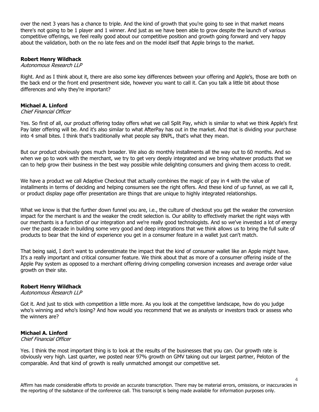over the next 3 years has a chance to triple. And the kind of growth that you're going to see in that market means there's not going to be 1 player and 1 winner. And just as we have been able to grow despite the launch of various competitive offerings, we feel really good about our competitive position and growth going forward and very happy about the validation, both on the no late fees and on the model itself that Apple brings to the market.

# **Robert Henry Wildhack**

#### Autonomous Research LLP

Right. And as I think about it, there are also some key differences between your offering and Apple's, those are both on the back end or the front end presentment side, however you want to call it. Can you talk a little bit about those differences and why they're important?

# **Michael A. Linford**

#### Chief Financial Officer

Yes. So first of all, our product offering today offers what we call Split Pay, which is similar to what we think Apple's first Pay later offering will be. And it's also similar to what AfterPay has out in the market. And that is dividing your purchase into 4 small bites. I think that's traditionally what people say BNPL, that's what they mean.

But our product obviously goes much broader. We also do monthly installments all the way out to 60 months. And so when we go to work with the merchant, we try to get very deeply integrated and we bring whatever products that we can to help grow their business in the best way possible while delighting consumers and giving them access to credit.

We have a product we call Adaptive Checkout that actually combines the magic of pay in 4 with the value of installments in terms of deciding and helping consumers see the right offers. And these kind of up funnel, as we call it, or product display page offer presentation are things that are unique to highly integrated relationships.

What we know is that the further down funnel you are, i.e., the culture of checkout you get the weaker the conversion impact for the merchant is and the weaker the credit selection is. Our ability to effectively market the right ways with our merchants is a function of our integration and we're really good technologists. And so we've invested a lot of energy over the past decade in building some very good and deep integrations that we think allows us to bring the full suite of products to bear that the kind of experience you get in a consumer feature in a wallet just can't match.

That being said, I don't want to underestimate the impact that the kind of consumer wallet like an Apple might have. It's a really important and critical consumer feature. We think about that as more of a consumer offering inside of the Apple Pay system as opposed to a merchant offering driving compelling conversion increases and average order value growth on their site.

# **Robert Henry Wildhack**

#### Autonomous Research LLP

Got it. And just to stick with competition a little more. As you look at the competitive landscape, how do you judge who's winning and who's losing? And how would you recommend that we as analysts or investors track or assess who the winners are?

# **Michael A. Linford**

Chief Financial Officer

Yes. I think the most important thing is to look at the results of the businesses that you can. Our growth rate is obviously very high. Last quarter, we posted near 97% growth on GMV taking out our largest partner, Peloton of the comparable. And that kind of growth is really unmatched amongst our competitive set.

Affirm has made considerable efforts to provide an accurate transcription. There may be material errors, omissions, or inaccuracies in the reporting of the substance of the conference call. This transcript is being made available for information purposes only.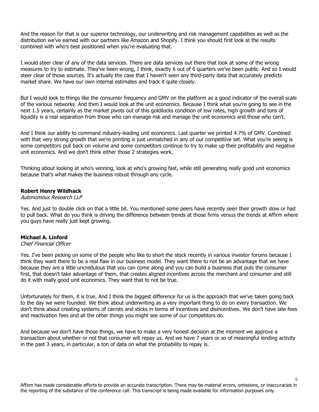And the reason for that is our superior technology, our underwriting and risk management capabilities as well as the distribution we've earned with our partners like Amazon and Shopify. I think you should first look at the results combined with who's best positioned when you're evaluating that.

I would steer clear of any of the data services. There are data services out there that look at some of the wrong measures to try to estimate. They've been wrong, I think, exactly 6 out of 6 quarters we've been public. And so I would steer clear of those sources. It's actually the case that I haven't seen any third-party data that accurately predicts market share. We have our own internal estimates and track it quite closely.

But I would look to things like the consumer frequency and GMV on the platform as a good indicator of the overall scale of the various networks. And then I would look at the unit economics. Because I think what you're going to see in the next 1.5 years, certainly as the market pivots out of this goldilocks condition of low rates, high growth and tons of liquidity is a real separation from those who can manage risk and manage the unit economics and those who can't.

And I think our ability to command industry-leading unit economics. Last quarter we printed 4.7% of GMV. Combined with that very strong growth that we're printing is just unmatched in any of our competitive set. What you're seeing is some competitors pull back on volume and some competitors continue to try to make up their profitability and negative unit economics. And we don't think either those 2 strategies work.

Thinking about looking at who's winning, look at who's growing fast, while still generating really good unit economics because that's what makes the business robust through any cycle.

# **Robert Henry Wildhack**

Autonomous Research LLP

Yes. And just to double click on that a little bit. You mentioned some peers have recently seen their growth slow or had to pull back. What do you think is driving the difference between trends at those firms versus the trends at Affirm where you guys have really just kept growing.

# **Michael A. Linford**

#### Chief Financial Officer

Yes. I've been picking on some of the people who like to short the stock recently in various investor forums because I think they want there to be a real flaw in our business model. They want there to not be an advantage that we have because they are a little uncredulous that you can come along and you can build a business that puts the consumer first, that doesn't take advantage of them, that creates aligned incentives across the merchant and consumer and still do it with really good unit economics. They want that to not be true.

Unfortunately for them, it is true. And I think the biggest difference for us is the approach that we've taken going back to the day we were founded. We think about underwriting as a very important thing to do on every transaction. We don't think about creating systems of carrots and sticks in terms of incentives and disincentives. We don't have late fees and reactivation fees and all the other things you might see some of our competitors do.

And because we don't have those things, we have to make a very honest decision at the moment we approve a transaction about whether or not that consumer will repay us. And we have 7 years or so of meaningful lending activity in the past 3 years, in particular, a ton of data on what the probability to repay is.

Affirm has made considerable efforts to provide an accurate transcription. There may be material errors, omissions, or inaccuracies in the reporting of the substance of the conference call. This transcript is being made available for information purposes only.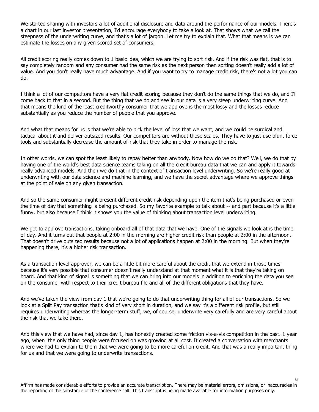We started sharing with investors a lot of additional disclosure and data around the performance of our models. There's a chart in our last investor presentation, I'd encourage everybody to take a look at. That shows what we call the steepness of the underwriting curve, and that's a lot of jargon. Let me try to explain that. What that means is we can estimate the losses on any given scored set of consumers.

All credit scoring really comes down to 1 basic idea, which we are trying to sort risk. And if the risk was flat, that is to say completely random and any consumer had the same risk as the next person then sorting doesn't really add a lot of value. And you don't really have much advantage. And if you want to try to manage credit risk, there's not a lot you can do.

I think a lot of our competitors have a very flat credit scoring because they don't do the same things that we do, and I'll come back to that in a second. But the thing that we do and see in our data is a very steep underwriting curve. And that means the kind of the least creditworthy consumer that we approve is the most lossy and the losses reduce substantially as you reduce the number of people that you approve.

And what that means for us is that we're able to pick the level of loss that we want, and we could be surgical and tactical about it and deliver outsized results. Our competitors are without those scales. They have to just use blunt force tools and substantially decrease the amount of risk that they take in order to manage the risk.

In other words, we can spot the least likely to repay better than anybody. Now how do we do that? Well, we do that by having one of the world's best data science teams taking on all the credit bureau data that we can and apply it towards really advanced models. And then we do that in the context of transaction level underwriting. So we're really good at underwriting with our data science and machine learning, and we have the secret advantage where we approve things at the point of sale on any given transaction.

And so the same consumer might present different credit risk depending upon the item that's being purchased or even the time of day that something is being purchased. So my favorite example to talk about -- and part because it's a little funny, but also because I think it shows you the value of thinking about transaction level underwriting.

We get to approve transactions, taking onboard all of that data that we have. One of the signals we look at is the time of day. And it turns out that people at 2:00 in the morning are higher credit risk than people at 2:00 in the afternoon. That doesn't drive outsized results because not a lot of applications happen at 2:00 in the morning. But when they're happening there, it's a higher risk transaction.

As a transaction level approver, we can be a little bit more careful about the credit that we extend in those times because it's very possible that consumer doesn't really understand at that moment what it is that they're taking on board. And that kind of signal is something that we can bring into our models in addition to enriching the data you see on the consumer with respect to their credit bureau file and all of the different obligations that they have.

And we've taken the view from day 1 that we're going to do that underwriting thing for all of our transactions. So we look at a Split Pay transaction that's kind of very short in duration, and we say it's a different risk profile, but still requires underwriting whereas the longer-term stuff, we, of course, underwrite very carefully and are very careful about the risk that we take there.

And this view that we have had, since day 1, has honestly created some friction vis-a-vis competition in the past. 1 year ago, when the only thing people were focused on was growing at all cost. It created a conversation with merchants where we had to explain to them that we were going to be more careful on credit. And that was a really important thing for us and that we were going to underwrite transactions.

Affirm has made considerable efforts to provide an accurate transcription. There may be material errors, omissions, or inaccuracies in the reporting of the substance of the conference call. This transcript is being made available for information purposes only.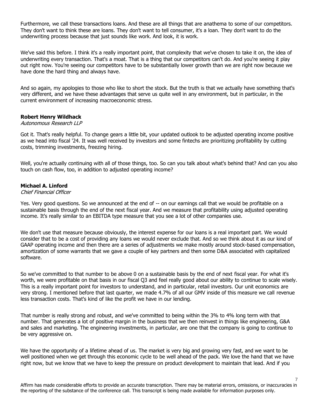Furthermore, we call these transactions loans. And these are all things that are anathema to some of our competitors. They don't want to think these are loans. They don't want to tell consumer, it's a loan. They don't want to do the underwriting process because that just sounds like work. And look, it is work.

We've said this before. I think it's a really important point, that complexity that we've chosen to take it on, the idea of underwriting every transaction. That's a moat. That is a thing that our competitors can't do. And you're seeing it play out right now. You're seeing our competitors have to be substantially lower growth than we are right now because we have done the hard thing and always have.

And so again, my apologies to those who like to short the stock. But the truth is that we actually have something that's very different, and we have these advantages that serve us quite well in any environment, but in particular, in the current environment of increasing macroeconomic stress.

# **Robert Henry Wildhack**

#### Autonomous Research LLP

Got it. That's really helpful. To change gears a little bit, your updated outlook to be adjusted operating income positive as we head into fiscal '24. It was well received by investors and some fintechs are prioritizing profitability by cutting costs, trimming investments, freezing hiring.

Well, you're actually continuing with all of those things, too. So can you talk about what's behind that? And can you also touch on cash flow, too, in addition to adjusted operating income?

# **Michael A. Linford**

#### Chief Financial Officer

Yes. Very good questions. So we announced at the end of -- on our earnings call that we would be profitable on a sustainable basis through the end of the next fiscal year. And we measure that profitability using adjusted operating income. It's really similar to an EBITDA type measure that you see a lot of other companies use.

We don't use that measure because obviously, the interest expense for our loans is a real important part. We would consider that to be a cost of providing any loans we would never exclude that. And so we think about it as our kind of GAAP operating income and then there are a series of adjustments we make mostly around stock-based compensation, amortization of some warrants that we gave a couple of key partners and then some D&A associated with capitalized software.

So we've committed to that number to be above 0 on a sustainable basis by the end of next fiscal year. For what it's worth, we were profitable on that basis in our fiscal Q3 and feel really good about our ability to continue to scale wisely. This is a really important point for investors to understand, and in particular, retail investors. Our unit economics are very strong. I mentioned before that last quarter, we made 4.7% of all our GMV inside of this measure we call revenue less transaction costs. That's kind of like the profit we have in our lending.

That number is really strong and robust, and we've committed to being within the 3% to 4% long term with that number. That generates a lot of positive margin in the business that we then reinvest in things like engineering, G&A and sales and marketing. The engineering investments, in particular, are one that the company is going to continue to be very aggressive on.

We have the opportunity of a lifetime ahead of us. The market is very big and growing very fast, and we want to be well positioned when we get through this economic cycle to be well ahead of the pack. We love the hand that we have right now, but we know that we have to keep the pressure on product development to maintain that lead. And if you

Affirm has made considerable efforts to provide an accurate transcription. There may be material errors, omissions, or inaccuracies in the reporting of the substance of the conference call. This transcript is being made available for information purposes only.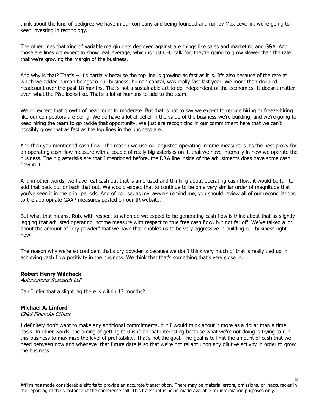think about the kind of pedigree we have in our company and being founded and run by Max Levchin, we're going to keep investing in technology.

The other lines that kind of variable margin gets deployed against are things like sales and marketing and G&A. And those are lines we expect to show real leverage, which is just CFO talk for, they're going to grow slower than the rate that we're growing the margin of the business.

And why is that? That's -- it's partially because the top line is growing as fast as it is. It's also because of the rate at which we added human beings to our business, human capital, was really fast last year. We more than doubled headcount over the past 18 months. That's not a sustainable act to do independent of the economics. It doesn't matter even what the P&L looks like. That's a lot of humans to add to the team.

We do expect that growth of headcount to moderate. But that is not to say we expect to reduce hiring or freeze hiring like our competitors are doing. We do have a lot of belief in the value of the business we're building, and we're going to keep hiring the team to go tackle that opportunity. We just are recognizing in our commitment here that we can't possibly grow that as fast as the top lines in the business are.

And then you mentioned cash flow. The reason we use our adjusted operating income measure is it's the best proxy for an operating cash flow measure with a couple of really big asterisks on it, that we have internally in how we operate the business. The big asterisks are that I mentioned before, the D&A line inside of the adjustments does have some cash flow in it.

And in other words, we have real cash out that is amortized and thinking about operating cash flow, it would be fair to add that back out or back that out. We would expect that to continue to be on a very similar order of magnitude that you've seen it in the prior periods. And of course, as my lawyers remind me, you should review all of our reconciliations to the appropriate GAAP measures posted on our IR website.

But what that means, Rob, with respect to when do we expect to be generating cash flow is think about that as slightly lagging that adjusted operating income measure with respect to true free cash flow, but not far off. We've talked a lot about the amount of "dry powder" that we have that enables us to be very aggressive in building our business right now.

The reason why we're so confident that's dry powder is because we don't think very much of that is really tied up in achieving cash flow positivity in the business. We think that that's something that's very close in.

#### **Robert Henry Wildhack**

Autonomous Research LLP

Can I infer that a slight lag there is within 12 months?

#### **Michael A. Linford**

Chief Financial Officer

I definitely don't want to make any additional commitments, but I would think about it more as a dollar than a time basis. In other words, the timing of getting to 0 isn't all that interesting because what we're not doing is trying to run this business to maximize the level of profitability. That's not the goal. The goal is to limit the amount of cash that we need between now and whenever that future date is so that we're not reliant upon any dilutive activity in order to grow the business.

Affirm has made considerable efforts to provide an accurate transcription. There may be material errors, omissions, or inaccuracies in the reporting of the substance of the conference call. This transcript is being made available for information purposes only.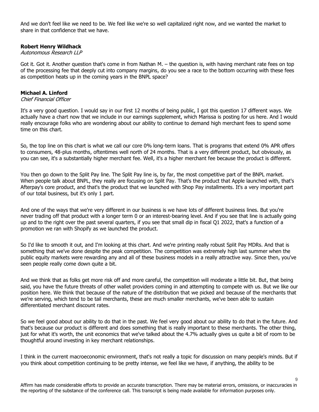And we don't feel like we need to be. We feel like we're so well capitalized right now, and we wanted the market to share in that confidence that we have.

# **Robert Henry Wildhack**

# Autonomous Research LLP

Got it. Got it. Another question that's come in from Nathan M. – the question is, with having merchant rate fees on top of the processing fee that deeply cut into company margins, do you see a race to the bottom occurring with these fees as competition heats up in the coming years in the BNPL space?

#### **Michael A. Linford**

Chief Financial Officer

It's a very good question. I would say in our first 12 months of being public, I got this question 17 different ways. We actually have a chart now that we include in our earnings supplement, which Marissa is posting for us here. And I would really encourage folks who are wondering about our ability to continue to demand high merchant fees to spend some time on this chart.

So, the top line on this chart is what we call our core 0% long-term loans. That is programs that extend 0% APR offers to consumers, 48-plus months, oftentimes well north of 24 months. That is a very different product, but obviously, as you can see, it's a substantially higher merchant fee. Well, it's a higher merchant fee because the product is different.

You then go down to the Split Pay line. The Split Pay line is, by far, the most competitive part of the BNPL market. When people talk about BNPL, they really are focusing on Split Pay. That's the product that Apple launched with, that's Afterpay's core product, and that's the product that we launched with Shop Pay installments. It's a very important part of our total business, but it's only 1 part.

And one of the ways that we're very different in our business is we have lots of different business lines. But you're never trading off that product with a longer term 0 or an interest-bearing level. And if you see that line is actually going up and to the right over the past several quarters, if you see that small dip in fiscal Q1 2022, that's a function of a promotion we ran with Shopify as we launched the product.

So I'd like to smooth it out, and I'm looking at this chart. And we're printing really robust Split Pay MDRs. And that is something that we've done despite the peak competition. The competition was extremely high last summer when the public equity markets were rewarding any and all of these business models in a really attractive way. Since then, you've seen people really come down quite a bit.

And we think that as folks get more risk off and more careful, the competition will moderate a little bit. But, that being said, you have the future threats of other wallet providers coming in and attempting to compete with us. But we like our position here. We think that because of the nature of the distribution that we picked and because of the merchants that we're serving, which tend to be tail merchants, these are much smaller merchants, we've been able to sustain differentiated merchant discount rates.

So we feel good about our ability to do that in the past. We feel very good about our ability to do that in the future. And that's because our product is different and does something that is really important to these merchants. The other thing, just for what it's worth, the unit economics that we've talked about the 4.7% actually gives us quite a bit of room to be thoughtful around investing in key merchant relationships.

I think in the current macroeconomic environment, that's not really a topic for discussion on many people's minds. But if you think about competition continuing to be pretty intense, we feel like we have, if anything, the ability to be

Affirm has made considerable efforts to provide an accurate transcription. There may be material errors, omissions, or inaccuracies in the reporting of the substance of the conference call. This transcript is being made available for information purposes only.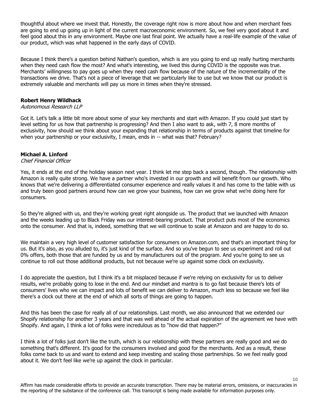thoughtful about where we invest that. Honestly, the coverage right now is more about how and when merchant fees are going to end up going up in light of the current macroeconomic environment. So, we feel very good about it and feel good about this in any environment. Maybe one last final point. We actually have a real-life example of the value of our product, which was what happened in the early days of COVID.

Because I think there's a question behind Nathan's question, which is are you going to end up really hurting merchants when they need cash flow the most? And what's interesting, we lived this during COVID is the opposite was true. Merchants' willingness to pay goes up when they need cash flow because of the nature of the incrementality of the transactions we drive. That's not a piece of leverage that we particularly like to use but we know that our product is extremely valuable and merchants will pay us more in times when they're stressed.

# **Robert Henry Wildhack**

#### Autonomous Research LLP

Got it. Let's talk a little bit more about some of your key merchants and start with Amazon. If you could just start by level setting for us how that partnership is progressing? And then I also want to ask, with 7, 8 more months of exclusivity, how should we think about your expanding that relationship in terms of products against that timeline for when your partnership or your exclusivity, I mean, ends in -- what was that? February?

# **Michael A. Linford**

#### Chief Financial Officer

Yes, it ends at the end of the holiday season next year. I think let me step back a second, though. The relationship with Amazon is really quite strong. We have a partner who's invested in our growth and will benefit from our growth. Who knows that we're delivering a differentiated consumer experience and really values it and has come to the table with us and truly been good partners around how can we grow your business, how can we grow what we're doing here for consumers.

So they're aligned with us, and they're working great right alongside us. The product that we launched with Amazon and the weeks leading up to Black Friday was our interest-bearing product. That product puts most of the economics onto the consumer. And that is, indeed, something that we will continue to scale at Amazon and are happy to do so.

We maintain a very high level of customer satisfaction for consumers on Amazon.com, and that's an important thing for us. But it's also, as you alluded to, it's just kind of the surface. And so you've begun to see us experiment and roll out 0% offers, both those that are funded by us and by manufacturers out of the program. And you're going to see us continue to roll out those additional products, but not because we're up against some clock on exclusivity.

I do appreciate the question, but I think it's a bit misplaced because if we're relying on exclusivity for us to deliver results, we're probably going to lose in the end. And our mindset and mantra is to go fast because there's lots of consumers' lives who we can impact and lots of benefit we can deliver to Amazon, much less so because we feel like there's a clock out there at the end of which all sorts of things are going to happen.

And this has been the case for really all of our relationships. Last month, we also announced that we extended our Shopify relationship for another 3 years and that was well ahead of the actual expiration of the agreement we have with Shopify. And again, I think a lot of folks were incredulous as to "how did that happen?"

I think a lot of folks just don't like the truth, which is our relationship with these partners are really good and we do something that's different. It's good for the consumers involved and good for the merchants. And as a result, these folks come back to us and want to extend and keep investing and scaling those partnerships. So we feel really good about it. We don't feel like we're up against the clock in particular.

Affirm has made considerable efforts to provide an accurate transcription. There may be material errors, omissions, or inaccuracies in the reporting of the substance of the conference call. This transcript is being made available for information purposes only.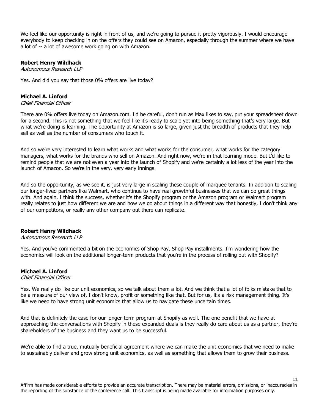We feel like our opportunity is right in front of us, and we're going to pursue it pretty vigorously. I would encourage everybody to keep checking in on the offers they could see on Amazon, especially through the summer where we have a lot of -- a lot of awesome work going on with Amazon.

# **Robert Henry Wildhack**

Autonomous Research LLP

Yes. And did you say that those 0% offers are live today?

#### **Michael A. Linford**

#### Chief Financial Officer

There are 0% offers live today on Amazon.com. I'd be careful, don't run as Max likes to say, put your spreadsheet down for a second. This is not something that we feel like it's ready to scale yet into being something that's very large. But what we're doing is learning. The opportunity at Amazon is so large, given just the breadth of products that they help sell as well as the number of consumers who touch it.

And so we're very interested to learn what works and what works for the consumer, what works for the category managers, what works for the brands who sell on Amazon. And right now, we're in that learning mode. But I'd like to remind people that we are not even a year into the launch of Shopify and we're certainly a lot less of the year into the launch of Amazon. So we're in the very, very early innings.

And so the opportunity, as we see it, is just very large in scaling these couple of marquee tenants. In addition to scaling our longer-lived partners like Walmart, who continue to have real growthful businesses that we can do great things with. And again, I think the success, whether it's the Shopify program or the Amazon program or Walmart program really relates to just how different we are and how we go about things in a different way that honestly, I don't think any of our competitors, or really any other company out there can replicate.

# **Robert Henry Wildhack**

#### Autonomous Research LLP

Yes. And you've commented a bit on the economics of Shop Pay, Shop Pay installments. I'm wondering how the economics will look on the additional longer-term products that you're in the process of rolling out with Shopify?

# **Michael A. Linford**

# Chief Financial Officer

Yes. We really do like our unit economics, so we talk about them a lot. And we think that a lot of folks mistake that to be a measure of our view of, I don't know, profit or something like that. But for us, it's a risk management thing. It's like we need to have strong unit economics that allow us to navigate these uncertain times.

And that is definitely the case for our longer-term program at Shopify as well. The one benefit that we have at approaching the conversations with Shopify in these expanded deals is they really do care about us as a partner, they're shareholders of the business and they want us to be successful.

We're able to find a true, mutually beneficial agreement where we can make the unit economics that we need to make to sustainably deliver and grow strong unit economics, as well as something that allows them to grow their business.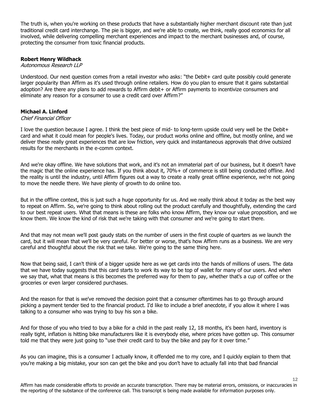The truth is, when you're working on these products that have a substantially higher merchant discount rate than just traditional credit card interchange. The pie is bigger, and we're able to create, we think, really good economics for all involved, while delivering compelling merchant experiences and impact to the merchant businesses and, of course, protecting the consumer from toxic financial products.

# **Robert Henry Wildhack**

#### Autonomous Research LLP

Understood. Our next question comes from a retail investor who asks: "the Debit+ card quite possibly could generate larger popularity than Affirm as it's used through online retailers. How do you plan to ensure that it gains substantial adoption? Are there any plans to add rewards to Affirm debit+ or Affirm payments to incentivize consumers and eliminate any reason for a consumer to use a credit card over Affirm?"

# **Michael A. Linford**

#### Chief Financial Officer

I love the question because I agree. I think the best piece of mid- to long-term upside could very well be the Debit+ card and what it could mean for people's lives. Today, our product works online and offline, but mostly online, and we deliver these really great experiences that are low friction, very quick and instantaneous approvals that drive outsized results for the merchants in the e-comm context.

And we're okay offline. We have solutions that work, and it's not an immaterial part of our business, but it doesn't have the magic that the online experience has. If you think about it, 70%+ of commerce is still being conducted offline. And the reality is until the industry, until Affirm figures out a way to create a really great offline experience, we're not going to move the needle there. We have plenty of growth to do online too.

But in the offline context, this is just such a huge opportunity for us. And we really think about it today as the best way to repeat on Affirm. So, we're going to think about rolling out the product carefully and thoughtfully, extending the card to our best repeat users. What that means is these are folks who know Affirm, they know our value proposition, and we know them. We know the kind of risk that we're taking with that consumer and we're going to start there.

And that may not mean we'll post gaudy stats on the number of users in the first couple of quarters as we launch the card, but it will mean that we'll be very careful. For better or worse, that's how Affirm runs as a business. We are very careful and thoughtful about the risk that we take. We're going to the same thing here.

Now that being said, I can't think of a bigger upside here as we get cards into the hands of millions of users. The data that we have today suggests that this card starts to work its way to be top of wallet for many of our users. And when we say that, what that means is this becomes the preferred way for them to pay, whether that's a cup of coffee or the groceries or even larger considered purchases.

And the reason for that is we've removed the decision point that a consumer oftentimes has to go through around picking a payment tender tied to the financial product. I'd like to include a brief anecdote, if you allow it where I was talking to a consumer who was trying to buy his son a bike.

And for those of you who tried to buy a bike for a child in the past really 12, 18 months, it's been hard, inventory is really tight, inflation is hitting bike manufacturers like it is everybody else, where prices have gotten up. This consumer told me that they were just going to "use their credit card to buy the bike and pay for it over time."

As you can imagine, this is a consumer I actually know, it offended me to my core, and I quickly explain to them that you're making a big mistake, your son can get the bike and you don't have to actually fall into that bad financial

Affirm has made considerable efforts to provide an accurate transcription. There may be material errors, omissions, or inaccuracies in the reporting of the substance of the conference call. This transcript is being made available for information purposes only.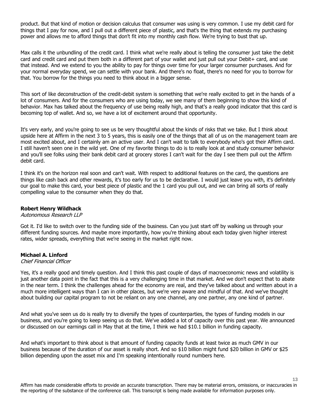product. But that kind of motion or decision calculus that consumer was using is very common. I use my debit card for things that I pay for now, and I pull out a different piece of plastic, and that's the thing that extends my purchasing power and allows me to afford things that don't fit into my monthly cash flow. We're trying to bust that up.

Max calls it the unbundling of the credit card. I think what we're really about is telling the consumer just take the debit card and credit card and put them both in a different part of your wallet and just pull out your Debit+ card, and use that instead. And we extend to you the ability to pay for things over time for your larger consumer purchases. And for your normal everyday spend, we can settle with your bank. And there's no float, there's no need for you to borrow for that. You borrow for the things you need to think about in a bigger sense.

This sort of like deconstruction of the credit-debit system is something that we're really excited to get in the hands of a lot of consumers. And for the consumers who are using today, we see many of them beginning to show this kind of behavior. Max has talked about the frequency of use being really high, and that's a really good indicator that this card is becoming top of wallet. And so, we have a lot of excitement around that opportunity.

It's very early, and you're going to see us be very thoughtful about the kinds of risks that we take. But I think about upside here at Affirm in the next 3 to 5 years, this is easily one of the things that all of us on the management team are most excited about, and I certainly am an active user. And I can't wait to talk to everybody who's got their Affirm card. I still haven't seen one in the wild yet. One of my favorite things to do is to really look at and study consumer behavior and you'll see folks using their bank debit card at grocery stores I can't wait for the day I see them pull out the Affirm debit card.

I think it's on the horizon real soon and can't wait. With respect to additional features on the card, the questions are things like cash back and other rewards, it's too early for us to be declarative. I would just leave you with, it's definitely our goal to make this card, your best piece of plastic and the 1 card you pull out, and we can bring all sorts of really compelling value to the consumer when they do that.

# **Robert Henry Wildhack**

#### Autonomous Research LLP

Got it. I'd like to switch over to the funding side of the business. Can you just start off by walking us through your different funding sources. And maybe more importantly, how you're thinking about each today given higher interest rates, wider spreads, everything that we're seeing in the market right now.

#### **Michael A. Linford**

#### Chief Financial Officer

Yes, it's a really good and timely question. And I think this past couple of days of macroeconomic news and volatility is just another data point in the fact that this is a very challenging time in that market. And we don't expect that to abate in the near term. I think the challenges ahead for the economy are real, and they've talked about and written about in a much more intelligent ways than I can in other places, but we're very aware and mindful of that. And we've thought about building our capital program to not be reliant on any one channel, any one partner, any one kind of partner.

And what you've seen us do is really try to diversify the types of counterparties, the types of funding models in our business, and you're going to keep seeing us do that. We've added a lot of capacity over this past year. We announced or discussed on our earnings call in May that at the time, I think we had \$10.1 billion in funding capacity.

And what's important to think about is that amount of funding capacity funds at least twice as much GMV in our business because of the duration of our asset is really short. And so \$10 billion might fund \$20 billion in GMV or \$25 billion depending upon the asset mix and I'm speaking intentionally round numbers here.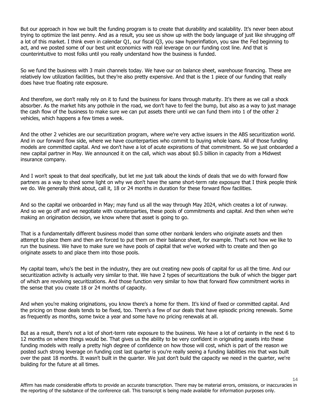But our approach in how we built the funding program is to create that durability and scalability. It's never been about trying to optimize the last penny. And as a result, you see us show up with the body language of just like shrugging off a lot of this market. I think even in calendar Q1, our fiscal Q3, you saw hyperinflation, you saw the Fed beginning to act, and we posted some of our best unit economics with real leverage on our funding cost line. And that is counterintuitive to most folks until you really understand how the business is funded.

So we fund the business with 3 main channels today. We have our on balance sheet, warehouse financing. These are relatively low utilization facilities, but they're also pretty expensive. And that is the 1 piece of our funding that really does have true floating rate exposure.

And therefore, we don't really rely on it to fund the business for loans through maturity. It's there as we call a shock absorber. As the market hits any pothole in the road, we don't have to feel the bump, but also as a way to just manage the cash flow of the business to make sure we can put assets there until we can fund them into 1 of the other 2 vehicles, which happens a few times a week.

And the other 2 vehicles are our securitization program, where we're very active issuers in the ABS securitization world. And in our forward flow side, where we have counterparties who commit to buying whole loans. All of those funding models are committed capital. And we don't have a lot of acute expirations of that commitment. So we just onboarded a new capital partner in May. We announced it on the call, which was about \$0.5 billion in capacity from a Midwest insurance company.

And I won't speak to that deal specifically, but let me just talk about the kinds of deals that we do with forward flow partners as a way to shed some light on why we don't have the same short-term rate exposure that I think people think we do. We generally think about, call it, 18 or 24 months in duration for these forward flow facilities.

And so the capital we onboarded in May; may fund us all the way through May 2024, which creates a lot of runway. And so we go off and we negotiate with counterparties, these pools of commitments and capital. And then when we're making an origination decision, we know where that asset is going to go.

That is a fundamentally different business model than some other nonbank lenders who originate assets and then attempt to place them and then are forced to put them on their balance sheet, for example. That's not how we like to run the business. We have to make sure we have pools of capital that we've worked with to create and then go originate assets to and place them into those pools.

My capital team, who's the best in the industry, they are out creating new pools of capital for us all the time. And our securitization activity is actually very similar to that. We have 2 types of securitizations the bulk of which the bigger part of which are revolving securitizations. And those function very similar to how that forward flow commitment works in the sense that you create 18 or 24 months of capacity.

And when you're making originations, you know there's a home for them. It's kind of fixed or committed capital. And the pricing on those deals tends to be fixed, too. There's a few of our deals that have episodic pricing renewals. Some as frequently as months, some twice a year and some have no pricing renewals at all.

But as a result, there's not a lot of short-term rate exposure to the business. We have a lot of certainty in the next 6 to 12 months on where things would be. That gives us the ability to be very confident in originating assets into these funding models with really a pretty high degree of confidence on how those will cost, which is part of the reason we posted such strong leverage on funding cost last quarter is you're really seeing a funding liabilities mix that was built over the past 18 months. It wasn't built in the quarter. We just don't build the capacity we need in the quarter, we're building for the future at all times.

Affirm has made considerable efforts to provide an accurate transcription. There may be material errors, omissions, or inaccuracies in the reporting of the substance of the conference call. This transcript is being made available for information purposes only.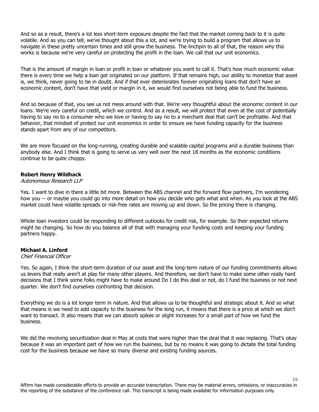And so as a result, there's a lot less short-term exposure despite the fact that the market coming back to it is quite volatile. And as you can tell, we've thought about this a lot, and we're trying to build a program that allows us to navigate in these pretty uncertain times and still grow the business. The linchpin to all of that, the reason why this works is because we're very careful on protecting the profit in the loan. We call that our unit economics.

That is the amount of margin in loan or profit in loan or whatever you want to call it. That's how much economic value there is every time we help a loan get originated on our platform. If that remains high, our ability to monetize that asset is, we think, never going to be in doubt. And if that ever deteriorates forever originating loans that don't have an economic content, don't have that yield or margin in it, we would find ourselves not being able to fund the business.

And so because of that, you see us not mess around with that. We're very thoughtful about the economic content in our loans. We're very careful on credit, which we control. And as a result, we will protect that even at the cost of potentially having to say no to a consumer who we love or having to say no to a merchant deal that can't be profitable. And that behavior, that mindset of protect our unit economics in order to ensure we have funding capacity for the business stands apart from any of our competitors.

We are more focused on the long-running, creating durable and scalable capital programs and a durable business than anybody else. And I think that is going to serve us very well over the next 18 months as the economic conditions continue to be quite choppy.

# **Robert Henry Wildhack**

#### Autonomous Research LLP

Yes. I want to dive in there a little bit more. Between the ABS channel and the forward flow partners, I'm wondering how you -- or maybe you could go into more detail on how you decide who gets what and when. As you look at the ABS market could have volatile spreads or risk-free rates are moving up and down. So the pricing there is changing.

Whole loan investors could be responding to different outlooks for credit risk, for example. So their expected returns might be changing. So how do you balance all of that with managing your funding costs and keeping your funding partners happy.

#### **Michael A. Linford**

#### Chief Financial Officer

Yes. So again, I think the short-term duration of our asset and the long-term nature of our funding commitments allows us levers that really aren't at play for many other players. And therefore, we don't have to make some other really hard decisions that I think some folks might have to make around Do I do this deal or not, do I fund the business or not next quarter. We don't find ourselves confronting that decision.

Everything we do is a lot longer term in nature. And that allows us to be thoughtful and strategic about it. And so what that means is we need to add capacity to the business for the long run, it means that there is a price at which we don't want to transact. It also means that we can absorb spikes or slight increases for a small part of how we fund the business.

We did the revolving securitization deal in May at costs that were higher than the deal that it was replacing. That's okay because it was an important part of how we run the business, but by no means it was going to dictate the total funding cost for the business because we have so many diverse and existing funding sources.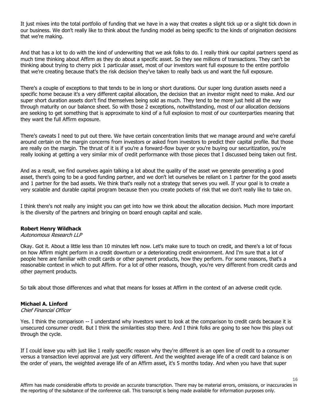It just mixes into the total portfolio of funding that we have in a way that creates a slight tick up or a slight tick down in our business. We don't really like to think about the funding model as being specific to the kinds of origination decisions that we're making.

And that has a lot to do with the kind of underwriting that we ask folks to do. I really think our capital partners spend as much time thinking about Affirm as they do about a specific asset. So they see millions of transactions. They can't be thinking about trying to cherry pick 1 particular asset, most of our investors want full exposure to the entire portfolio that we're creating because that's the risk decision they've taken to really back us and want the full exposure.

There's a couple of exceptions to that tends to be in long or short durations. Our super long duration assets need a specific home because it's a very different capital allocation, the decision that an investor might need to make. And our super short duration assets don't find themselves being sold as much. They tend to be more just held all the way through maturity on our balance sheet. So with those 2 exceptions, notwithstanding, most of our allocation decisions are seeking to get something that is approximate to kind of a full explosion to most of our counterparties meaning that they want the full Affirm exposure.

There's caveats I need to put out there. We have certain concentration limits that we manage around and we're careful around certain on the margin concerns from investors or asked from investors to predict their capital profile. But those are really on the margin. The thrust of it is if you're a forward-flow buyer or you're buying our securitization, you're really looking at getting a very similar mix of credit performance with those pieces that I discussed being taken out first.

And as a result, we find ourselves again talking a lot about the quality of the asset we generate generating a good asset, there's going to be a good funding partner, and we don't let ourselves be reliant on 1 partner for the good assets and 1 partner for the bad assets. We think that's really not a strategy that serves you well. If your goal is to create a very scalable and durable capital program because then you create pockets of risk that we don't really like to take on.

I think there's not really any insight you can get into how we think about the allocation decision. Much more important is the diversity of the partners and bringing on board enough capital and scale.

# **Robert Henry Wildhack**

#### Autonomous Research LLP

Okay. Got it. About a little less than 10 minutes left now. Let's make sure to touch on credit, and there's a lot of focus on how Affirm might perform in a credit downturn or a deteriorating credit environment. And I'm sure that a lot of people here are familiar with credit cards or other payment products, how they perform. For some reasons, that's a reasonable context in which to put Affirm. For a lot of other reasons, though, you're very different from credit cards and other payment products.

So talk about those differences and what that means for losses at Affirm in the context of an adverse credit cycle.

# **Michael A. Linford**

#### Chief Financial Officer

Yes. I think the comparison -- I understand why investors want to look at the comparison to credit cards because it is unsecured consumer credit. But I think the similarities stop there. And I think folks are going to see how this plays out through the cycle.

If I could leave you with just like 1 really specific reason why they're different is an open line of credit to a consumer versus a transaction level approval are just very different. And the weighted average life of a credit card balance is on the order of years, the weighted average life of an Affirm asset, it's 5 months today. And when you have that super

Affirm has made considerable efforts to provide an accurate transcription. There may be material errors, omissions, or inaccuracies in the reporting of the substance of the conference call. This transcript is being made available for information purposes only.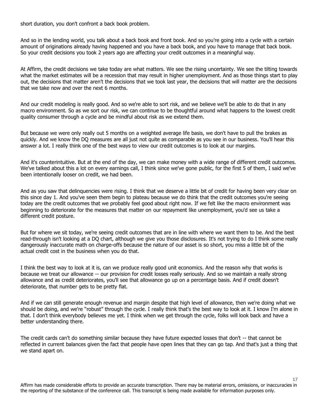short duration, you don't confront a back book problem.

And so in the lending world, you talk about a back book and front book. And so you're going into a cycle with a certain amount of originations already having happened and you have a back book, and you have to manage that back book. So your credit decisions you took 2 years ago are affecting your credit outcomes in a meaningful way.

At Affirm, the credit decisions we take today are what matters. We see the rising uncertainty. We see the tilting towards what the market estimates will be a recession that may result in higher unemployment. And as those things start to play out, the decisions that matter aren't the decisions that we took last year, the decisions that will matter are the decisions that we take now and over the next 6 months.

And our credit modeling is really good. And so we're able to sort risk, and we believe we'll be able to do that in any macro environment. So as we sort our risk, we can continue to be thoughtful around what happens to the lowest credit quality consumer through a cycle and be mindful about risk as we extend them.

But because we were only really out 5 months on a weighted average life basis, we don't have to pull the brakes as quickly. And we know the DQ measures are all just not quite as comparable as you see in our business. You'll hear this answer a lot. I really think one of the best ways to view our credit outcomes is to look at our margins.

And it's counterintuitive. But at the end of the day, we can make money with a wide range of different credit outcomes. We've talked about this a lot on every earnings call, I think since we've gone public, for the first 5 of them, I said we've been intentionally looser on credit, we had been.

And as you saw that delinquencies were rising. I think that we deserve a little bit of credit for having been very clear on this since day 1. And you've seen them begin to plateau because we do think that the credit outcomes you're seeing today are the credit outcomes that we probably feel good about right now. If we felt like the macro environment was beginning to deteriorate for the measures that matter on our repayment like unemployment, you'd see us take a different credit posture.

But for where we sit today, we're seeing credit outcomes that are in line with where we want them to be. And the best read-through isn't looking at a DQ chart, although we give you those disclosures. It's not trying to do I think some really dangerously inaccurate math on charge-offs because the nature of our asset is so short, you miss a little bit of the actual credit cost in the business when you do that.

I think the best way to look at it is, can we produce really good unit economics. And the reason why that works is because we treat our allowance -- our provision for credit losses really seriously. And so we maintain a really strong allowance and as credit deteriorates, you'll see that allowance go up on a percentage basis. And if credit doesn't deteriorate, that number gets to be pretty flat.

And if we can still generate enough revenue and margin despite that high level of allowance, then we're doing what we should be doing, and we're "robust" through the cycle. I really think that's the best way to look at it. I know I'm alone in that. I don't think everybody believes me yet. I think when we get through the cycle, folks will look back and have a better understanding there.

The credit cards can't do something similar because they have future expected losses that don't -- that cannot be reflected in current balances given the fact that people have open lines that they can go tap. And that's just a thing that we stand apart on.

Affirm has made considerable efforts to provide an accurate transcription. There may be material errors, omissions, or inaccuracies in the reporting of the substance of the conference call. This transcript is being made available for information purposes only.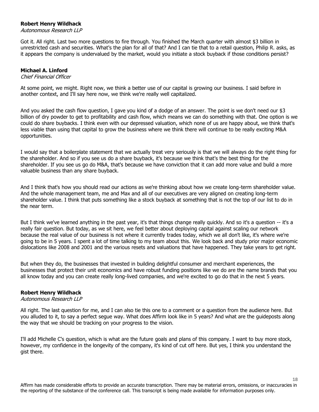# **Robert Henry Wildhack**

Autonomous Research LLP

Got it. All right. Last two more questions to fire through. You finished the March quarter with almost \$3 billion in unrestricted cash and securities. What's the plan for all of that? And I can tie that to a retail question, Philip R. asks, as it appears the company is undervalued by the market, would you initiate a stock buyback if those conditions persist?

# **Michael A. Linford**

#### Chief Financial Officer

At some point, we might. Right now, we think a better use of our capital is growing our business. I said before in another context, and I'll say here now, we think we're really well capitalized.

And you asked the cash flow question, I gave you kind of a dodge of an answer. The point is we don't need our \$3 billion of dry powder to get to profitability and cash flow, which means we can do something with that. One option is we could do share buybacks. I think even with our depressed valuation, which none of us are happy about, we think that's less viable than using that capital to grow the business where we think there will continue to be really exciting M&A opportunities.

I would say that a boilerplate statement that we actually treat very seriously is that we will always do the right thing for the shareholder. And so if you see us do a share buyback, it's because we think that's the best thing for the shareholder. If you see us go do M&A, that's because we have conviction that it can add more value and build a more valuable business than any share buyback.

And I think that's how you should read our actions as we're thinking about how we create long-term shareholder value. And the whole management team, me and Max and all of our executives are very aligned on creating long-term shareholder value. I think that puts something like a stock buyback at something that is not the top of our list to do in the near term.

But I think we've learned anything in the past year, it's that things change really quickly. And so it's a question -- it's a really fair question. But today, as we sit here, we feel better about deploying capital against scaling our network because the real value of our business is not where it currently trades today, which we all don't like, it's where we're going to be in 5 years. I spent a lot of time talking to my team about this. We look back and study prior major economic dislocations like 2008 and 2001 and the various resets and valuations that have happened. They take years to get right.

But when they do, the businesses that invested in building delightful consumer and merchant experiences, the businesses that protect their unit economics and have robust funding positions like we do are the name brands that you all know today and you can create really long-lived companies, and we're excited to go do that in the next 5 years.

# **Robert Henry Wildhack**

# Autonomous Research LLP

All right. The last question for me, and I can also tie this one to a comment or a question from the audience here. But you alluded to it, to say a perfect segue way. What does Affirm look like in 5 years? And what are the guideposts along the way that we should be tracking on your progress to the vision.

I'll add Michelle C's question, which is what are the future goals and plans of this company. I want to buy more stock, however, my confidence in the longevity of the company, it's kind of cut off here. But yes, I think you understand the gist there.

Affirm has made considerable efforts to provide an accurate transcription. There may be material errors, omissions, or inaccuracies in the reporting of the substance of the conference call. This transcript is being made available for information purposes only.